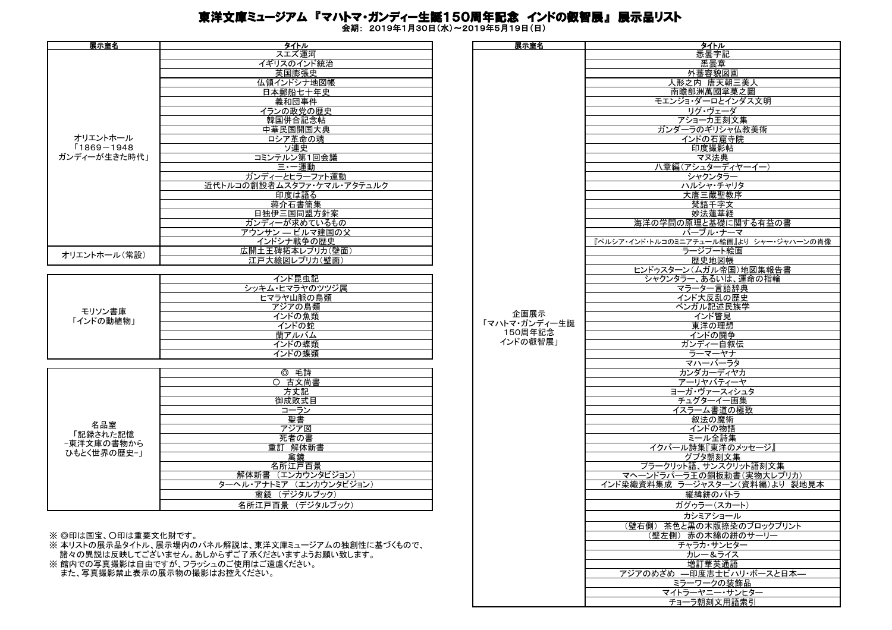## 東洋文庫ミュージアム 『マハトマ・ガンディー生誕150周年記念 インドの叡智展』 展示品リスト

会期: 2019年1月30日(水)~2019年5月19日(日)

| 展示室名         | タイトル                      | 展示室名 | <u>タイトル<br/>悉曇字<br/>悉曇章</u> |
|--------------|---------------------------|------|-----------------------------|
|              | スエズ運河                     |      |                             |
|              | イギリスのインド統治                |      |                             |
|              | 英国膨張史                     |      | 外蕃容貌                        |
|              | 仏領インドシナ地図帳                |      | 人形之内 唐天                     |
|              | 日本郵船七十年史                  |      | 南瞻部洲萬國                      |
|              | 義和団事件                     |      | モエンジョ・ダーロと                  |
|              | イランの政党の歴史                 |      | リグ・ヴェー                      |
|              | 韓国併合記念帖                   |      | アショーカ王                      |
|              | 中華民国開国大典                  |      | ガンダーラのギリシ                   |
| オリエントホール     | ロシア革命の魂                   |      | インドの石窟                      |
| [1869-1948]  | ソ連史                       |      | 印度撮影                        |
| ガンディーが生きた時代」 | コミンテルン第1回会議               |      | マヌ法典                        |
|              | 三・一運動                     |      | 八章編(アシュター)                  |
|              | ガンディーとヒラーファト運動            |      | シャクンタ                       |
|              | 近代トルコの創設者ムスタファ・ケマル・アタテュルク |      | ハルシャ・チ                      |
|              | 印度は語る                     |      | 大唐三蔵聖                       |
|              | 蒋介石書簡集                    |      | 梵語千字                        |
|              | 日独伊三国同盟方針案                |      | 妙法蓮華                        |
|              | ガンディーが求めているもの             |      | 海洋の学問の原理と基礎                 |
|              | アウンサン ― ビルマ建国の父           |      | バーブル・ナ                      |
|              | インドシナ戦争の歴史                |      | 『ペルシア・インド・トルコのミニアチュール約      |
| オリエントホール(常設) | 広開土王碑拓本レプリカ(壁面)           |      | ラージプート                      |
|              | 江戸大絵図レプリカ(壁面)             |      | 歴史地図                        |

|           | インド昆虫記         |
|-----------|----------------|
|           | シッキム・ヒマラヤのツツジ属 |
|           | ヒマラヤ山脈の鳥類      |
| モリソン書庫    | アジアの鳥類         |
| 「インドの動植物」 | インドの魚類         |
|           | インドの蛇          |
|           | 蘭              |
|           | ) 幉類           |
|           | ) 帷 光百         |

|             | 毛詩<br>⊚                    |
|-------------|----------------------------|
|             | 古文尚書<br>∩                  |
|             | 方丈記                        |
|             | 御成敗式目                      |
|             | コーラン                       |
|             | 聖書                         |
| 名品室         | アジア図                       |
| 記録された記憶     | 死者の書                       |
| −東洋文庫の書物から  | 重訂<br>解体新書                 |
| ひもとく世界の歴史ー」 | 禽鏡                         |
|             | 名所江戸百景                     |
|             | (エンカウンタビジョン)<br>解体新書       |
|             | (エンカウンタビジョン)<br>ターヘル・アナトミア |
|             | (デジタルブック)<br>禽鏡            |
|             | 名所江戸百景<br>(デジタルブック)        |

※ ◎印は国宝、〇印は重要文化財です。

※ 本リストの展示品タイトル、展示場内のパネル解説は、東洋文庫ミュージアムの独創性に基づくもので、 諸々の異説は反映してございません。あしからずご了承くださいますようお願い致します。

※ 館 ハンシンシンシン コーニ<br>※ 館内での写真撮影は自由ですが、フラッシュのご使用はご遠慮ください。

また、写真撮影禁止表示の展示物の撮影はお控えください。

| タイトル                          | 展示室名          | タイトル                                    |
|-------------------------------|---------------|-----------------------------------------|
|                               |               |                                         |
| スエズ運河                         |               | 悉曇字記                                    |
| イギリスのインド統治                    |               | 悉曇章                                     |
|                               |               |                                         |
| 英国膨張史                         |               | 外蕃容貌図画                                  |
| 仏領インドシナ地図帳                    |               | 人形之内 唐天朝三美人                             |
|                               |               |                                         |
| 日本郵船七十年史                      |               | 南瞻部洲萬國掌菓之圖                              |
| 義和団事件                         |               | モエンジョ・ダーロとインダス文明                        |
|                               |               |                                         |
| イランの政党の歴史                     |               | リグ・ヴェーダ                                 |
| 韓国併合記念帖                       |               | アショーカ王刻文集                               |
|                               |               |                                         |
| 中華民国開国大典                      |               | ガンダーラのギリシャ仏教美術                          |
| ロシア革命の魂                       |               | インドの石窟寺院                                |
| ソ連史                           |               |                                         |
|                               |               | 印度撮影帖                                   |
| コミンテルン第1回会議                   |               | マヌ法典                                    |
| 三·一運動                         |               | 八章編(アシュターディヤーイー)                        |
|                               |               |                                         |
| ガンディーとヒラーファト運動                |               | シャクンタラー                                 |
| 近代トルコの創設者ムスタファ・ケマル・アタテュルク     |               | ハルシャ・チャリタ                               |
|                               |               |                                         |
| 印度は語る                         |               | 大唐三蔵聖教序                                 |
| 蒋介石書簡集                        |               | 梵語千字文                                   |
|                               |               |                                         |
| 日独伊三国同盟方針案                    |               | 妙法蓮華経                                   |
| ガンディーが求めているもの                 |               | 海洋の学問の原理と基礎に関する有益の書                     |
|                               |               |                                         |
| <u> アウンサン — ビルマ建国の父</u>       |               | バーブル・ナーマ                                |
| インドシナ戦争の歴史                    |               | 『ペルシア・インド・トルコのミニアチュール絵画』より シャー・ジャハーンの肖像 |
| 広開土王碑拓本レプリカ(壁面)               |               | ラージプート絵画                                |
|                               |               |                                         |
| 江戸大絵図レプリカ(壁面)                 |               | 歴史地図帳                                   |
|                               |               | ヒンドゥスターン(ムガル帝国)地図集報告書                   |
|                               |               |                                         |
| インド昆虫記                        |               | シャクンタラー、あるいは、運命の指輪                      |
| シッキム・ヒマラヤのツツジ属                |               | マラーター言語辞典                               |
|                               |               |                                         |
| ヒマラヤ山脈の鳥類                     |               | インド大反乱の歴史                               |
| アジアの鳥類                        |               | ベンガル記述民族学                               |
|                               | 企画展示          |                                         |
| インドの魚類                        |               | インド瞥見                                   |
| インドの蛇                         | 「マハトマ・ガンディー生誕 | 東洋の理想                                   |
| 蘭アルバム                         | 150周年記念       | インドの闘争                                  |
|                               | インドの叡智展」      |                                         |
| インドの蝶類                        |               | ガンディー自叙伝                                |
| インドの蝶類                        |               | ラーマーヤナ                                  |
|                               |               |                                         |
|                               |               | マハーバーラタ                                 |
| ◎ 毛詩                          |               | カンダカーディヤカ                               |
|                               |               |                                         |
| ○ 古文尚書                        |               | アーリヤバティーヤ                               |
| 方丈記                           |               | ヨーガ・ヴァースィシュタ                            |
| 御成敗式目                         |               | チュグターイー画集                               |
|                               |               |                                         |
| コーラン                          |               | イスラーム書道の極致                              |
| 聖書                            |               | 叙法の魔術                                   |
|                               |               |                                         |
| アジア図                          |               | インドの物語                                  |
| 死者の書                          |               | ミール全詩集                                  |
|                               |               |                                         |
| 重訂 解体新書                       |               | イクバール詩集『東洋のメッセージ』                       |
| 禽鏡                            |               | グプタ朝刻文集                                 |
| 名所江戸百景                        |               | プラークリット語、サンスクリット語刻文集                    |
|                               |               |                                         |
| 解体新書 (エンカウンタビジョン)             |               | マヘーンドラパーラ王の銅板勅書(実物大レプリカ)                |
| ターヘル・アナトミア (エンカウンタビジョン)       |               | インド染織資料集成 ラージャスターン(資料編)より 裂地見本          |
|                               |               |                                         |
| 禽鏡 (デジタルブック)                  |               | 縦緯絣のパトラ                                 |
| 名所江戸百景 (デジタルブック)              |               | ガグゥラー(スカート)                             |
|                               |               |                                         |
|                               |               | カシミアショール                                |
|                               |               |                                         |
|                               |               | (壁右側) 茶色と黒の木版捺染のブロックプリント                |
|                               |               | (壁左側) 赤の木綿の絣のサーリー                       |
|                               |               | チャラカ・サンヒター                              |
| パネル解説は、東洋文庫ミュージアムの独創性に基づくもので、 |               |                                         |
| しからずご了承くださいますようお願い致します。       |               | カレー&ライス                                 |
| シュのご使用はご遠慮ください。               |               | 増訂華英通語                                  |
|                               |               |                                         |
| <b>彭はお控えください。</b>             |               | アジアのめざめ 一印度志士ビハリ・ボースと日本一                |
|                               |               | ミラーワークの装飾品                              |
|                               |               |                                         |
|                               |               | マイトラーヤニー・サンヒター                          |
|                               |               | チョーラ朝刻文用語索引                             |
|                               |               |                                         |